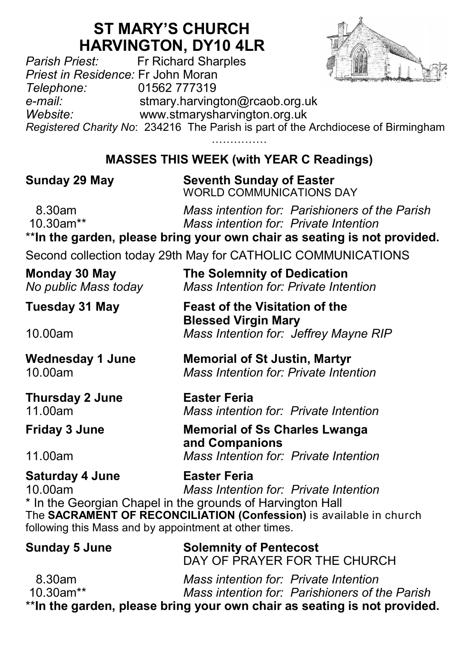## **ST MARY'S CHURCH HARVINGTON, DY10 4LR**<br>Fr Richard Sharples



*Parish Priest:* Fr Richard Sharples *Priest in Residence:* Fr John Moran *Telephone:* 01562 777319 *e-mail:* stmary.harvington@rcaob.org.uk *Website:* www.stmarysharvington.org.uk *Registered Charity No*: 234216 The Parish is part of the Archdiocese of Birmingham

**MASSES THIS WEEK (with YEAR C Readings)** 

**Sunday 29 May Seventh Sunday of Easter** WORLD COMMUNICATIONS DAY

 8.30am *Mass intention for: Parishioners of the Parish* 10.30am\*\* *Mass intention for: Private Intention*

\*\***In the garden, please bring your own chair as seating is not provided.**

Second collection today 29th May for CATHOLIC COMMUNICATIONS

| Monday 30 May        | The Solemnity of Dedication           |  |
|----------------------|---------------------------------------|--|
| No public Mass today | Mass Intention for: Private Intention |  |

| Tuesday 31 May | <b>Feast of the Visitation of the</b> |
|----------------|---------------------------------------|
|                | <b>Blessed Virgin Mary</b>            |
| 10.00am        | Mass Intention for: Jeffrey Mayne RIP |

**Wednesday 1 June Memorial of St Justin, Martyr** 10.00am *Mass Intention for: Private Intention*

**Thursday 2 June Easter Feria** 11.00am *Mass intention for: Private Intention*

**Friday 3 June Memorial of Ss Charles Lwanga** 

11.00am *Mass Intention for: Private Intention*

**Saturday 4 June Easter Feria** 10.00am *Mass Intention for: Private Intention* \* In the Georgian Chapel in the grounds of Harvington Hall

The **SACRAMENT OF RECONCILIATION (Confession)** is available in church following this Mass and by appointment at other times.

**and Companions**

| <b>Sunday 5 June</b> | <b>Solemnity of Pentecost</b><br>DAY OF PRAYER FOR THE CHURCH                           |
|----------------------|-----------------------------------------------------------------------------------------|
| 8.30am<br>10.30am**  | Mass intention for: Private Intention<br>Mass intention for: Parishioners of the Parish |
|                      | ** In the garden, please bring your own chair as seating is not provided.               |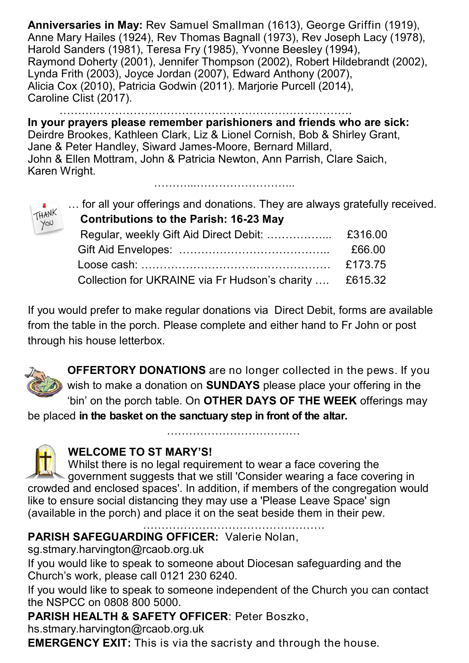**Anniversaries in May:** Rev Samuel Smallman (1613), George Griffin (1919), Anne Mary Hailes (1924), Rev Thomas Bagnall (1973), Rev Joseph Lacy (1978), Harold Sanders (1981), Teresa Fry (1985), Yvonne Beesley (1994), Raymond Doherty (2001), Jennifer Thompson (2002), Robert Hildebrandt (2002), Lynda Frith (2003), Joyce Jordan (2007), Edward Anthony (2007), Alicia Cox (2010), Patricia Godwin (2011). Marjorie Purcell (2014), Caroline Clist (2017).

…………………………………………………………… **In your prayers please remember parishioners and friends who are sick:**  Deirdre Brookes, Kathleen Clark, Liz & Lionel Cornish, Bob & Shirley Grant, Jane & Peter Handley, Siward James-Moore, Bernard Millard, John & Ellen Mottram, John & Patricia Newton, Ann Parrish, Clare Saich, Karen Wright.

………...……………………...

HANK YOU

… for all your offerings and donations. They are always gratefully received.

| <b>Contributions to the Parish: 16-23 May</b>           |         |
|---------------------------------------------------------|---------|
| Regular, weekly Gift Aid Direct Debit:                  | £316.00 |
|                                                         | £66.00  |
|                                                         | £173.75 |
| Collection for UKRAINE via Fr Hudson's charity  £615.32 |         |
|                                                         |         |

If you would prefer to make regular donations via Direct Debit, forms are available from the table in the porch. Please complete and either hand to Fr John or post through his house letterbox.



**OFFERTORY DONATIONS** are no longer collected in the pews. If you wish to make a donation on **SUNDAYS** please place your offering in the 'bin' on the porch table. On **OTHER DAYS OF THE WEEK** offerings may

………………………………

be placed **in the basket on the sanctuary step in front of the altar.** 



## **WELCOME TO ST MARY'S!**

Whilst there is no legal requirement to wear a face covering the **Solutify** dovernment suggests that we still 'Consider wearing a face covering in crowded and enclosed spaces'. In addition, if members of the congregation would like to ensure social distancing they may use a 'Please Leave Space' sign (available in the porch) and place it on the seat beside them in their pew.

………………………………………….

**PARISH SAFEGUARDING OFFICER:** Valerie Nolan,

sg.stmary.harvington@rcaob.org.uk

If you would like to speak to someone about Diocesan safeguarding and the Church's work, please call 0121 230 6240.

If you would like to speak to someone independent of the Church you can contact the NSPCC on 0808 800 5000.

## **PARISH HEALTH & SAFETY OFFICER**: Peter Boszko,

hs.stmary.harvington@rcaob.org.uk

**EMERGENCY EXIT:** This is via the sacristy and through the house.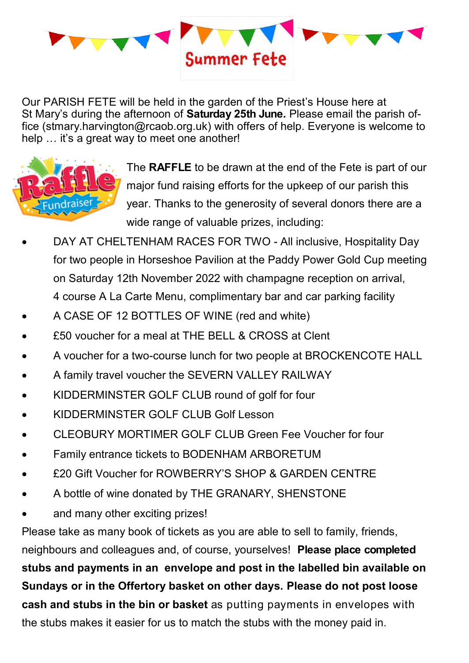

Our PARISH FETE will be held in the garden of the Priest's House here at St Mary's during the afternoon of **Saturday 25th June.** Please email the parish office (stmary.harvington@rcaob.org.uk) with offers of help. Everyone is welcome to help ... it's a great way to meet one another!



The **RAFFLE** to be drawn at the end of the Fete is part of our major fund raising efforts for the upkeep of our parish this year. Thanks to the generosity of several donors there are a wide range of valuable prizes, including:

- DAY AT CHELTENHAM RACES FOR TWO All inclusive, Hospitality Day for two people in Horseshoe Pavilion at the Paddy Power Gold Cup meeting on Saturday 12th November 2022 with champagne reception on arrival, 4 course A La Carte Menu, complimentary bar and car parking facility
- A CASE OF 12 BOTTLES OF WINE (red and white)
- £50 voucher for a meal at THE BELL & CROSS at Clent
- A voucher for a two-course lunch for two people at BROCKENCOTE HALL
- A family travel voucher the SEVERN VALLEY RAILWAY
- KIDDERMINSTER GOLF CLUB round of golf for four
- KIDDERMINSTER GOLF CLUB Golf Lesson
- CLEOBURY MORTIMER GOLF CLUB Green Fee Voucher for four
- Family entrance tickets to BODENHAM ARBORETUM
- £20 Gift Voucher for ROWBERRY'S SHOP & GARDEN CENTRE
- A bottle of wine donated by THE GRANARY, SHENSTONE
- and many other exciting prizes!

Please take as many book of tickets as you are able to sell to family, friends, neighbours and colleagues and, of course, yourselves! **Please place completed stubs and payments in an envelope and post in the labelled bin available on Sundays or in the Offertory basket on other days. Please do not post loose cash and stubs in the bin or basket** as putting payments in envelopes with the stubs makes it easier for us to match the stubs with the money paid in.